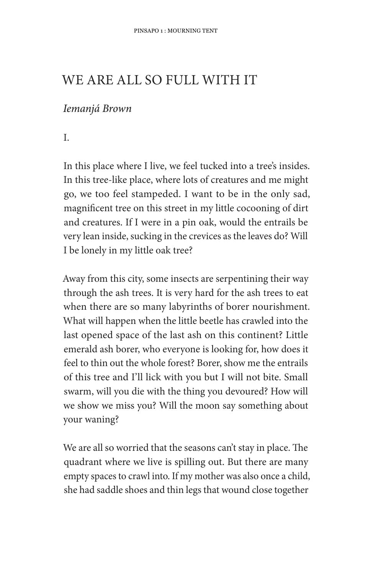## WE ARE ALL SO FULL WITH IT

## Iemanjá Brown

L.

In this place where I live, we feel tucked into a tree's insides. In this tree-like place, where lots of creatures and me might go, we too feel stampeded. I want to be in the only sad, magnificent tree on this street in my little cocooning of dirt and creatures. If I were in a pin oak, would the entrails be very lean inside, sucking in the crevices as the leaves do? Will I be lonely in my little oak tree?

Away from this city, some insects are serpentining their way through the ash trees. It is very hard for the ash trees to eat when there are so many labyrinths of borer nourishment. What will happen when the little beetle has crawled into the last opened space of the last ash on this continent? Little emerald ash borer, who everyone is looking for, how does it feel to thin out the whole forest? Borer, show me the entrails of this tree and I'll lick with you but I will not bite. Small swarm, will you die with the thing you devoured? How will we show we miss you? Will the moon say something about your waning?

We are all so worried that the seasons can't stay in place. The quadrant where we live is spilling out. But there are many empty spaces to crawl into. If my mother was also once a child, she had saddle shoes and thin legs that wound close together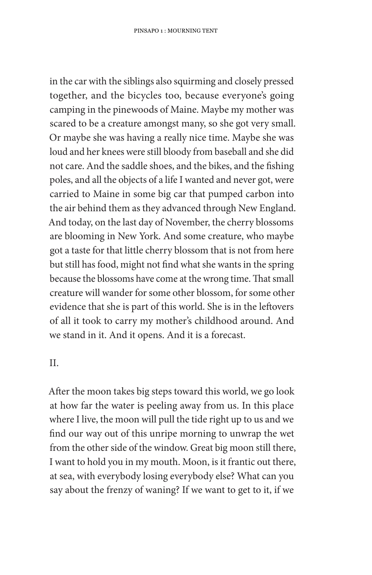in the car with the siblings also squirming and closely pressed together, and the bicycles too, because everyone's going camping in the pinewoods of Maine. Maybe my mother was scared to be a creature amongst many, so she got very small. Or maybe she was having a really nice time. Maybe she was loud and her knees were still bloody from baseball and she did not care. And the saddle shoes, and the bikes, and the fishing poles, and all the objects of a life I wanted and never got, were carried to Maine in some big car that pumped carbon into the air behind them as they advanced through New England. And today, on the last day of November, the cherry blossoms are blooming in New York. And some creature, who maybe got a taste for that little cherry blossom that is not from here but still has food, might not find what she wants in the spring because the blossoms have come at the wrong time. That small creature will wander for some other blossom, for some other evidence that she is part of this world. She is in the leftovers of all it took to carry my mother's childhood around. And we stand in it. And it opens. And it is a forecast.

 $II.$ 

After the moon takes big steps toward this world, we go look at how far the water is peeling away from us. In this place where I live, the moon will pull the tide right up to us and we find our way out of this unripe morning to unwrap the wet from the other side of the window. Great big moon still there, I want to hold you in my mouth. Moon, is it frantic out there, at sea, with everybody losing everybody else? What can you say about the frenzy of waning? If we want to get to it, if we